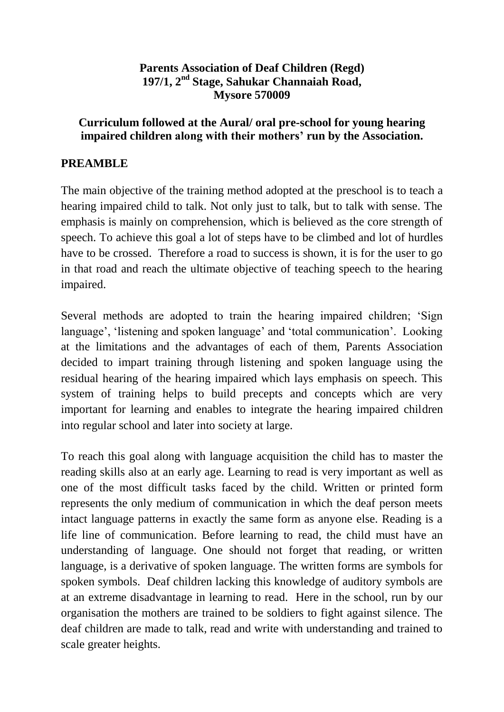## **Parents Association of Deaf Children (Regd) 197/1, 2nd Stage, Sahukar Channaiah Road, Mysore 570009**

## **Curriculum followed at the Aural/ oral pre-school for young hearing impaired children along with their mothers' run by the Association.**

# **PREAMBLE**

The main objective of the training method adopted at the preschool is to teach a hearing impaired child to talk. Not only just to talk, but to talk with sense. The emphasis is mainly on comprehension, which is believed as the core strength of speech. To achieve this goal a lot of steps have to be climbed and lot of hurdles have to be crossed. Therefore a road to success is shown, it is for the user to go in that road and reach the ultimate objective of teaching speech to the hearing impaired.

Several methods are adopted to train the hearing impaired children; 'Sign language', 'listening and spoken language' and 'total communication'. Looking at the limitations and the advantages of each of them, Parents Association decided to impart training through listening and spoken language using the residual hearing of the hearing impaired which lays emphasis on speech. This system of training helps to build precepts and concepts which are very important for learning and enables to integrate the hearing impaired children into regular school and later into society at large.

To reach this goal along with language acquisition the child has to master the reading skills also at an early age. Learning to read is very important as well as one of the most difficult tasks faced by the child. Written or printed form represents the only medium of communication in which the deaf person meets intact language patterns in exactly the same form as anyone else. Reading is a life line of communication. Before learning to read, the child must have an understanding of language. One should not forget that reading, or written language, is a derivative of spoken language. The written forms are symbols for spoken symbols. Deaf children lacking this knowledge of auditory symbols are at an extreme disadvantage in learning to read. Here in the school, run by our organisation the mothers are trained to be soldiers to fight against silence. The deaf children are made to talk, read and write with understanding and trained to scale greater heights.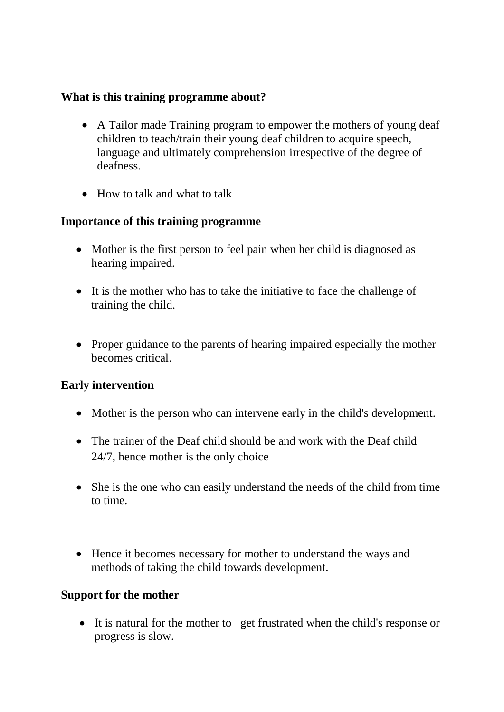## **What is this training programme about?**

- A Tailor made Training program to empower the mothers of young deaf children to teach/train their young deaf children to acquire speech, language and ultimately comprehension irrespective of the degree of deafness.
- How to talk and what to talk

### **Importance of this training programme**

- Mother is the first person to feel pain when her child is diagnosed as hearing impaired.
- It is the mother who has to take the initiative to face the challenge of training the child.
- Proper guidance to the parents of hearing impaired especially the mother becomes critical.

## **Early intervention**

- Mother is the person who can intervene early in the child's development.
- The trainer of the Deaf child should be and work with the Deaf child 24/7, hence mother is the only choice
- She is the one who can easily understand the needs of the child from time to time.
- Hence it becomes necessary for mother to understand the ways and methods of taking the child towards development.

### **Support for the mother**

 It is natural for the mother to get frustrated when the child's response or progress is slow.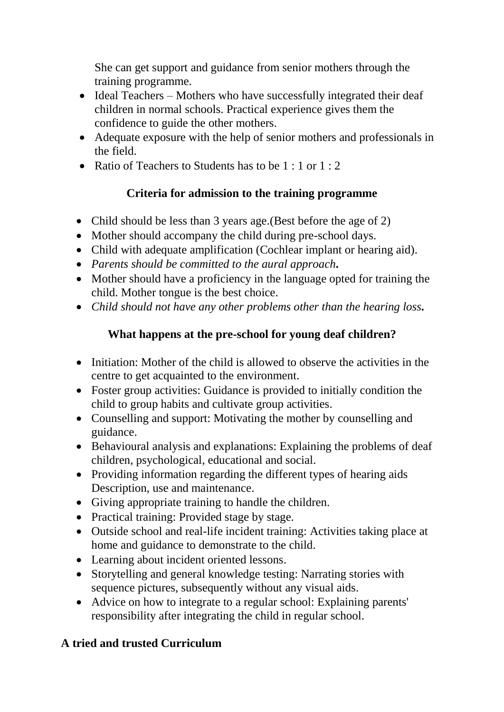She can get support and guidance from senior mothers through the training programme.

- Ideal Teachers Mothers who have successfully integrated their deaf children in normal schools. Practical experience gives them the confidence to guide the other mothers.
- Adequate exposure with the help of senior mothers and professionals in the field.
- Ratio of Teachers to Students has to be  $1:1$  or  $1:2$

# **Criteria for admission to the training programme**

- Child should be less than 3 years age. (Best before the age of 2)
- Mother should accompany the child during pre-school days.
- Child with adequate amplification (Cochlear implant or hearing aid).
- *Parents should be committed to the aural approach.*
- Mother should have a proficiency in the language opted for training the child. Mother tongue is the best choice.
- *Child should not have any other problems other than the hearing loss.*

# **What happens at the pre-school for young deaf children?**

- Initiation: Mother of the child is allowed to observe the activities in the centre to get acquainted to the environment.
- Foster group activities: Guidance is provided to initially condition the child to group habits and cultivate group activities.
- Counselling and support: Motivating the mother by counselling and guidance.
- Behavioural analysis and explanations: Explaining the problems of deaf children, psychological, educational and social.
- Providing information regarding the different types of hearing aids Description, use and maintenance.
- Giving appropriate training to handle the children.
- Practical training: Provided stage by stage.
- Outside school and real-life incident training: Activities taking place at home and guidance to demonstrate to the child.
- Learning about incident oriented lessons.
- Storytelling and general knowledge testing: Narrating stories with sequence pictures, subsequently without any visual aids.
- Advice on how to integrate to a regular school: Explaining parents' responsibility after integrating the child in regular school.

# **A tried and trusted Curriculum**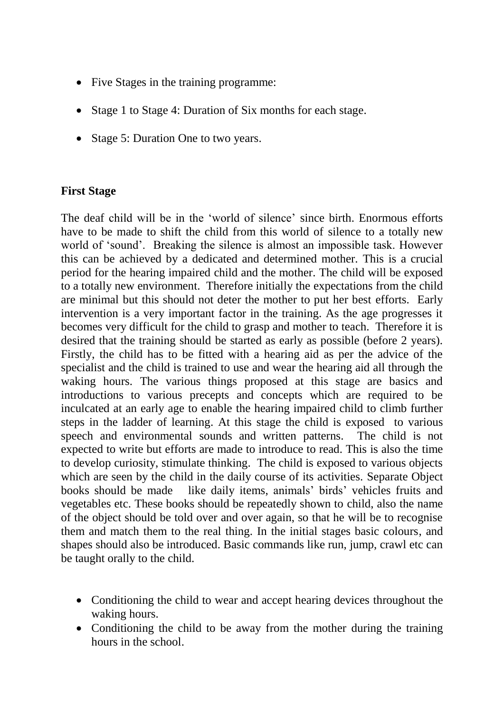- Five Stages in the training programme:
- Stage 1 to Stage 4: Duration of Six months for each stage.
- Stage 5: Duration One to two years.

## **First Stage**

The deaf child will be in the 'world of silence' since birth. Enormous efforts have to be made to shift the child from this world of silence to a totally new world of 'sound'. Breaking the silence is almost an impossible task. However this can be achieved by a dedicated and determined mother. This is a crucial period for the hearing impaired child and the mother. The child will be exposed to a totally new environment. Therefore initially the expectations from the child are minimal but this should not deter the mother to put her best efforts. Early intervention is a very important factor in the training. As the age progresses it becomes very difficult for the child to grasp and mother to teach. Therefore it is desired that the training should be started as early as possible (before 2 years). Firstly, the child has to be fitted with a hearing aid as per the advice of the specialist and the child is trained to use and wear the hearing aid all through the waking hours. The various things proposed at this stage are basics and introductions to various precepts and concepts which are required to be inculcated at an early age to enable the hearing impaired child to climb further steps in the ladder of learning. At this stage the child is exposed to various speech and environmental sounds and written patterns. The child is not expected to write but efforts are made to introduce to read. This is also the time to develop curiosity, stimulate thinking. The child is exposed to various objects which are seen by the child in the daily course of its activities. Separate Object books should be made like daily items, animals' birds' vehicles fruits and vegetables etc. These books should be repeatedly shown to child, also the name of the object should be told over and over again, so that he will be to recognise them and match them to the real thing. In the initial stages basic colours, and shapes should also be introduced. Basic commands like run, jump, crawl etc can be taught orally to the child.

- Conditioning the child to wear and accept hearing devices throughout the waking hours.
- Conditioning the child to be away from the mother during the training hours in the school.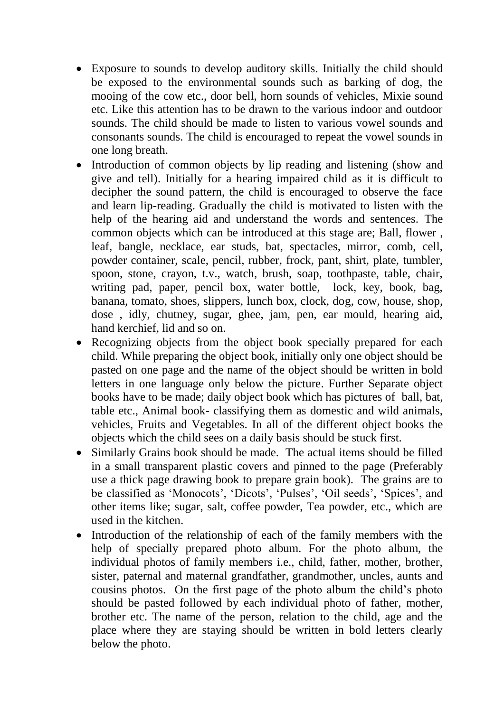- Exposure to sounds to develop auditory skills. Initially the child should be exposed to the environmental sounds such as barking of dog, the mooing of the cow etc., door bell, horn sounds of vehicles, Mixie sound etc. Like this attention has to be drawn to the various indoor and outdoor sounds. The child should be made to listen to various vowel sounds and consonants sounds. The child is encouraged to repeat the vowel sounds in one long breath.
- Introduction of common objects by lip reading and listening (show and give and tell). Initially for a hearing impaired child as it is difficult to decipher the sound pattern, the child is encouraged to observe the face and learn lip-reading. Gradually the child is motivated to listen with the help of the hearing aid and understand the words and sentences. The common objects which can be introduced at this stage are; Ball, flower , leaf, bangle, necklace, ear studs, bat, spectacles, mirror, comb, cell, powder container, scale, pencil, rubber, frock, pant, shirt, plate, tumbler, spoon, stone, crayon, t.v., watch, brush, soap, toothpaste, table, chair, writing pad, paper, pencil box, water bottle, lock, key, book, bag, banana, tomato, shoes, slippers, lunch box, clock, dog, cow, house, shop, dose , idly, chutney, sugar, ghee, jam, pen, ear mould, hearing aid, hand kerchief, lid and so on.
- Recognizing objects from the object book specially prepared for each child. While preparing the object book, initially only one object should be pasted on one page and the name of the object should be written in bold letters in one language only below the picture. Further Separate object books have to be made; daily object book which has pictures of ball, bat, table etc., Animal book- classifying them as domestic and wild animals, vehicles, Fruits and Vegetables. In all of the different object books the objects which the child sees on a daily basis should be stuck first.
- Similarly Grains book should be made. The actual items should be filled in a small transparent plastic covers and pinned to the page (Preferably use a thick page drawing book to prepare grain book). The grains are to be classified as 'Monocots', 'Dicots', 'Pulses', 'Oil seeds', 'Spices', and other items like; sugar, salt, coffee powder, Tea powder, etc., which are used in the kitchen.
- Introduction of the relationship of each of the family members with the help of specially prepared photo album. For the photo album, the individual photos of family members i.e., child, father, mother, brother, sister, paternal and maternal grandfather, grandmother, uncles, aunts and cousins photos. On the first page of the photo album the child's photo should be pasted followed by each individual photo of father, mother, brother etc. The name of the person, relation to the child, age and the place where they are staying should be written in bold letters clearly below the photo.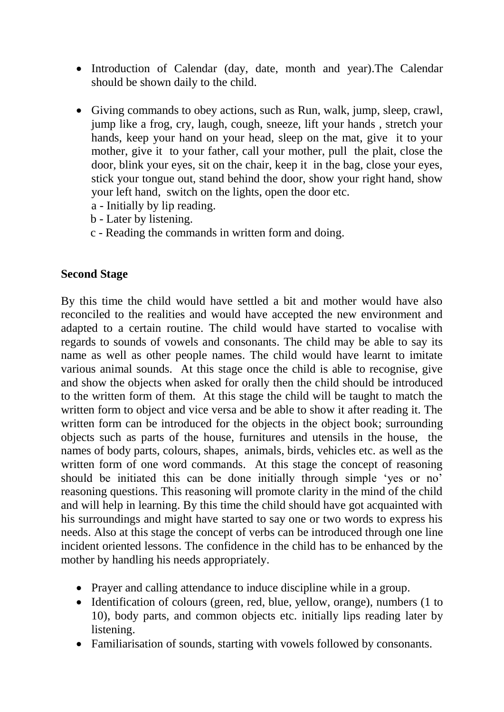- Introduction of Calendar (day, date, month and year). The Calendar should be shown daily to the child.
- Giving commands to obey actions, such as Run, walk, jump, sleep, crawl, jump like a frog, cry, laugh, cough, sneeze, lift your hands , stretch your hands, keep your hand on your head, sleep on the mat, give it to your mother, give it to your father, call your mother, pull the plait, close the door, blink your eyes, sit on the chair, keep it in the bag, close your eyes, stick your tongue out, stand behind the door, show your right hand, show your left hand, switch on the lights, open the door etc.
	- a Initially by lip reading.
	- b Later by listening.
	- c Reading the commands in written form and doing.

#### **Second Stage**

By this time the child would have settled a bit and mother would have also reconciled to the realities and would have accepted the new environment and adapted to a certain routine. The child would have started to vocalise with regards to sounds of vowels and consonants. The child may be able to say its name as well as other people names. The child would have learnt to imitate various animal sounds. At this stage once the child is able to recognise, give and show the objects when asked for orally then the child should be introduced to the written form of them. At this stage the child will be taught to match the written form to object and vice versa and be able to show it after reading it. The written form can be introduced for the objects in the object book; surrounding objects such as parts of the house, furnitures and utensils in the house, the names of body parts, colours, shapes, animals, birds, vehicles etc. as well as the written form of one word commands. At this stage the concept of reasoning should be initiated this can be done initially through simple 'yes or no' reasoning questions. This reasoning will promote clarity in the mind of the child and will help in learning. By this time the child should have got acquainted with his surroundings and might have started to say one or two words to express his needs. Also at this stage the concept of verbs can be introduced through one line incident oriented lessons. The confidence in the child has to be enhanced by the mother by handling his needs appropriately.

- Prayer and calling attendance to induce discipline while in a group.
- Identification of colours (green, red, blue, yellow, orange), numbers (1 to 10), body parts, and common objects etc. initially lips reading later by listening.
- Familiarisation of sounds, starting with vowels followed by consonants.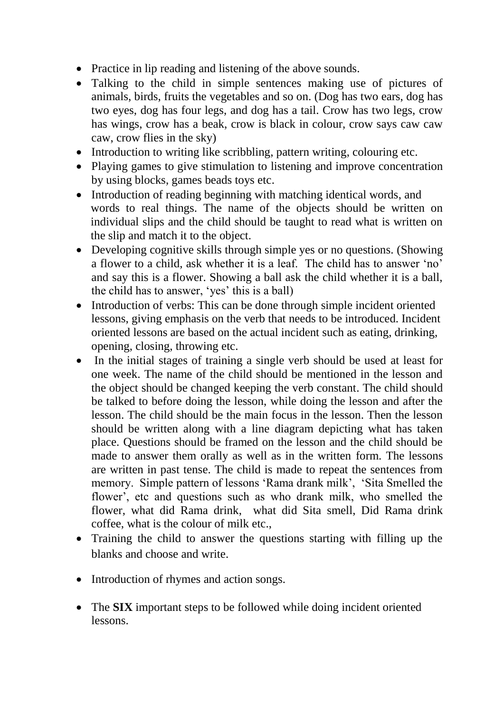- Practice in lip reading and listening of the above sounds.
- Talking to the child in simple sentences making use of pictures of animals, birds, fruits the vegetables and so on. (Dog has two ears, dog has two eyes, dog has four legs, and dog has a tail. Crow has two legs, crow has wings, crow has a beak, crow is black in colour, crow says caw caw caw, crow flies in the sky)
- Introduction to writing like scribbling, pattern writing, colouring etc.
- Playing games to give stimulation to listening and improve concentration by using blocks, games beads toys etc.
- Introduction of reading beginning with matching identical words, and words to real things. The name of the objects should be written on individual slips and the child should be taught to read what is written on the slip and match it to the object.
- Developing cognitive skills through simple yes or no questions. (Showing a flower to a child, ask whether it is a leaf. The child has to answer 'no' and say this is a flower. Showing a ball ask the child whether it is a ball, the child has to answer, 'yes' this is a ball)
- Introduction of verbs: This can be done through simple incident oriented lessons, giving emphasis on the verb that needs to be introduced. Incident oriented lessons are based on the actual incident such as eating, drinking, opening, closing, throwing etc.
- In the initial stages of training a single verb should be used at least for one week. The name of the child should be mentioned in the lesson and the object should be changed keeping the verb constant. The child should be talked to before doing the lesson, while doing the lesson and after the lesson. The child should be the main focus in the lesson. Then the lesson should be written along with a line diagram depicting what has taken place. Questions should be framed on the lesson and the child should be made to answer them orally as well as in the written form. The lessons are written in past tense. The child is made to repeat the sentences from memory. Simple pattern of lessons 'Rama drank milk', 'Sita Smelled the flower', etc and questions such as who drank milk, who smelled the flower, what did Rama drink, what did Sita smell, Did Rama drink coffee, what is the colour of milk etc.,
- Training the child to answer the questions starting with filling up the blanks and choose and write.
- Introduction of rhymes and action songs.
- The **SIX** important steps to be followed while doing incident oriented lessons.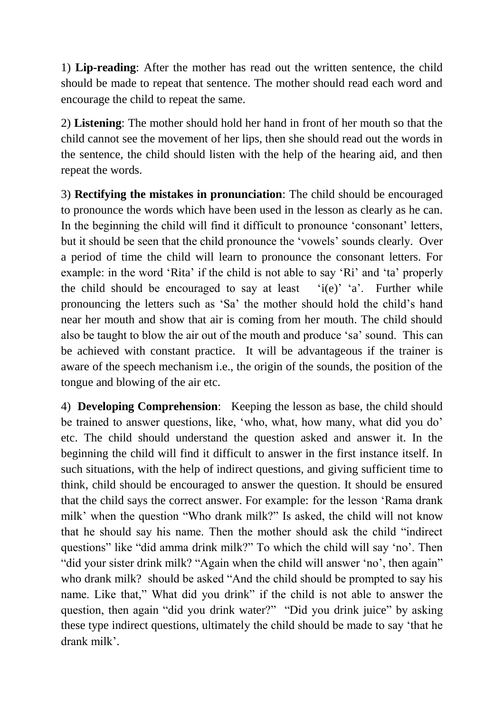1) **Lip-reading**: After the mother has read out the written sentence, the child should be made to repeat that sentence. The mother should read each word and encourage the child to repeat the same.

2) **Listening**: The mother should hold her hand in front of her mouth so that the child cannot see the movement of her lips, then she should read out the words in the sentence, the child should listen with the help of the hearing aid, and then repeat the words.

3) **Rectifying the mistakes in pronunciation**: The child should be encouraged to pronounce the words which have been used in the lesson as clearly as he can. In the beginning the child will find it difficult to pronounce 'consonant' letters, but it should be seen that the child pronounce the 'vowels' sounds clearly. Over a period of time the child will learn to pronounce the consonant letters. For example: in the word 'Rita' if the child is not able to say 'Ri' and 'ta' properly the child should be encouraged to say at least 'i(e)' 'a'. Further while pronouncing the letters such as 'Sa' the mother should hold the child's hand near her mouth and show that air is coming from her mouth. The child should also be taught to blow the air out of the mouth and produce 'sa' sound. This can be achieved with constant practice. It will be advantageous if the trainer is aware of the speech mechanism i.e., the origin of the sounds, the position of the tongue and blowing of the air etc.

4) **Developing Comprehension**: Keeping the lesson as base, the child should be trained to answer questions, like, 'who, what, how many, what did you do' etc. The child should understand the question asked and answer it. In the beginning the child will find it difficult to answer in the first instance itself. In such situations, with the help of indirect questions, and giving sufficient time to think, child should be encouraged to answer the question. It should be ensured that the child says the correct answer. For example: for the lesson 'Rama drank milk' when the question "Who drank milk?" Is asked, the child will not know that he should say his name. Then the mother should ask the child "indirect questions" like "did amma drink milk?" To which the child will say 'no'. Then "did your sister drink milk? "Again when the child will answer 'no', then again" who drank milk? should be asked "And the child should be prompted to say his name. Like that," What did you drink" if the child is not able to answer the question, then again "did you drink water?" "Did you drink juice" by asking these type indirect questions, ultimately the child should be made to say 'that he drank milk'.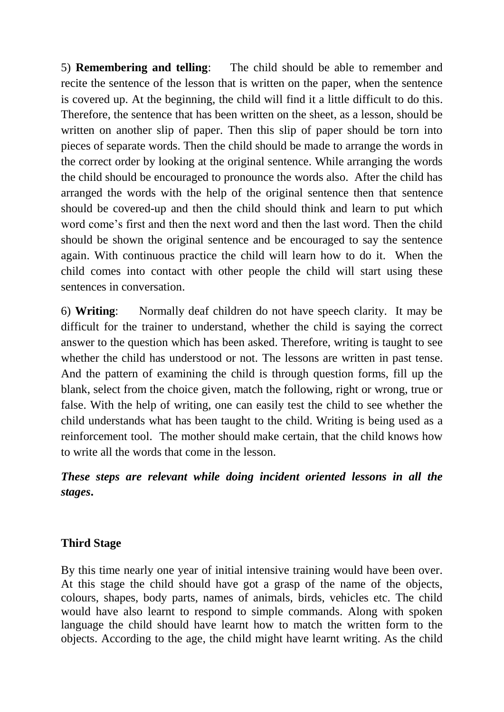5) **Remembering and telling**: The child should be able to remember and recite the sentence of the lesson that is written on the paper, when the sentence is covered up. At the beginning, the child will find it a little difficult to do this. Therefore, the sentence that has been written on the sheet, as a lesson, should be written on another slip of paper. Then this slip of paper should be torn into pieces of separate words. Then the child should be made to arrange the words in the correct order by looking at the original sentence. While arranging the words the child should be encouraged to pronounce the words also. After the child has arranged the words with the help of the original sentence then that sentence should be covered-up and then the child should think and learn to put which word come's first and then the next word and then the last word. Then the child should be shown the original sentence and be encouraged to say the sentence again. With continuous practice the child will learn how to do it. When the child comes into contact with other people the child will start using these sentences in conversation.

6) **Writing**: Normally deaf children do not have speech clarity. It may be difficult for the trainer to understand, whether the child is saying the correct answer to the question which has been asked. Therefore, writing is taught to see whether the child has understood or not. The lessons are written in past tense. And the pattern of examining the child is through question forms, fill up the blank, select from the choice given, match the following, right or wrong, true or false. With the help of writing, one can easily test the child to see whether the child understands what has been taught to the child. Writing is being used as a reinforcement tool. The mother should make certain, that the child knows how to write all the words that come in the lesson.

*These steps are relevant while doing incident oriented lessons in all the stages***.** 

## **Third Stage**

By this time nearly one year of initial intensive training would have been over. At this stage the child should have got a grasp of the name of the objects, colours, shapes, body parts, names of animals, birds, vehicles etc. The child would have also learnt to respond to simple commands. Along with spoken language the child should have learnt how to match the written form to the objects. According to the age, the child might have learnt writing. As the child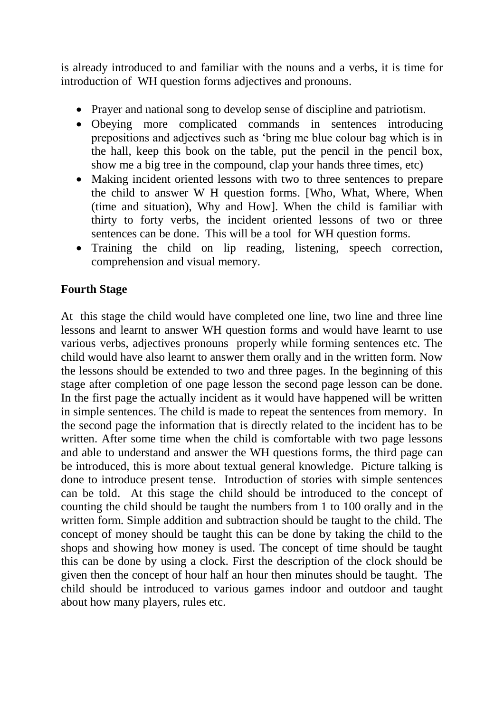is already introduced to and familiar with the nouns and a verbs, it is time for introduction of WH question forms adjectives and pronouns.

- Prayer and national song to develop sense of discipline and patriotism.
- Obeying more complicated commands in sentences introducing prepositions and adjectives such as 'bring me blue colour bag which is in the hall, keep this book on the table, put the pencil in the pencil box, show me a big tree in the compound, clap your hands three times, etc)
- Making incident oriented lessons with two to three sentences to prepare the child to answer W H question forms. [Who, What, Where, When (time and situation), Why and How]. When the child is familiar with thirty to forty verbs, the incident oriented lessons of two or three sentences can be done. This will be a tool for WH question forms.
- Training the child on lip reading, listening, speech correction, comprehension and visual memory.

# **Fourth Stage**

At this stage the child would have completed one line, two line and three line lessons and learnt to answer WH question forms and would have learnt to use various verbs, adjectives pronouns properly while forming sentences etc. The child would have also learnt to answer them orally and in the written form. Now the lessons should be extended to two and three pages. In the beginning of this stage after completion of one page lesson the second page lesson can be done. In the first page the actually incident as it would have happened will be written in simple sentences. The child is made to repeat the sentences from memory. In the second page the information that is directly related to the incident has to be written. After some time when the child is comfortable with two page lessons and able to understand and answer the WH questions forms, the third page can be introduced, this is more about textual general knowledge. Picture talking is done to introduce present tense. Introduction of stories with simple sentences can be told. At this stage the child should be introduced to the concept of counting the child should be taught the numbers from 1 to 100 orally and in the written form. Simple addition and subtraction should be taught to the child. The concept of money should be taught this can be done by taking the child to the shops and showing how money is used. The concept of time should be taught this can be done by using a clock. First the description of the clock should be given then the concept of hour half an hour then minutes should be taught. The child should be introduced to various games indoor and outdoor and taught about how many players, rules etc.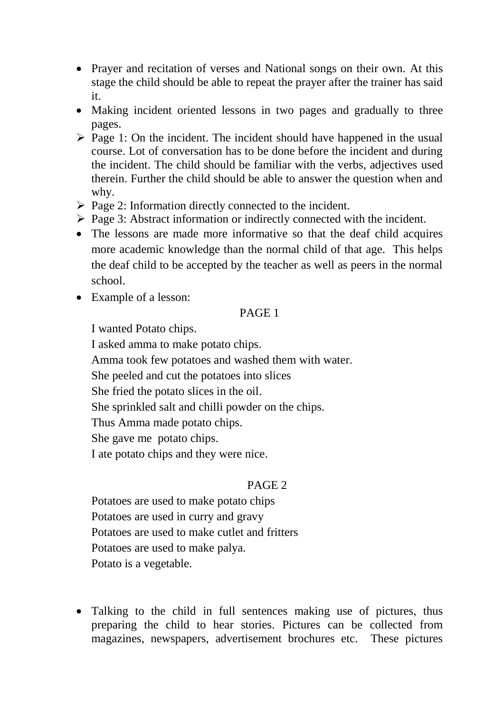- Prayer and recitation of verses and National songs on their own. At this stage the child should be able to repeat the prayer after the trainer has said it.
- Making incident oriented lessons in two pages and gradually to three pages.
- $\triangleright$  Page 1: On the incident. The incident should have happened in the usual course. Lot of conversation has to be done before the incident and during the incident. The child should be familiar with the verbs, adjectives used therein. Further the child should be able to answer the question when and why.
- $\triangleright$  Page 2: Information directly connected to the incident.
- $\triangleright$  Page 3: Abstract information or indirectly connected with the incident.
- The lessons are made more informative so that the deaf child acquires more academic knowledge than the normal child of that age. This helps the deaf child to be accepted by the teacher as well as peers in the normal school.
- Example of a lesson:

## PAGE 1

I wanted Potato chips.

I asked amma to make potato chips.

Amma took few potatoes and washed them with water.

She peeled and cut the potatoes into slices

She fried the potato slices in the oil.

She sprinkled salt and chilli powder on the chips.

Thus Amma made potato chips.

She gave me potato chips.

I ate potato chips and they were nice.

# PAGE 2

Potatoes are used to make potato chips Potatoes are used in curry and gravy Potatoes are used to make cutlet and fritters Potatoes are used to make palya. Potato is a vegetable.

• Talking to the child in full sentences making use of pictures, thus preparing the child to hear stories. Pictures can be collected from magazines, newspapers, advertisement brochures etc. These pictures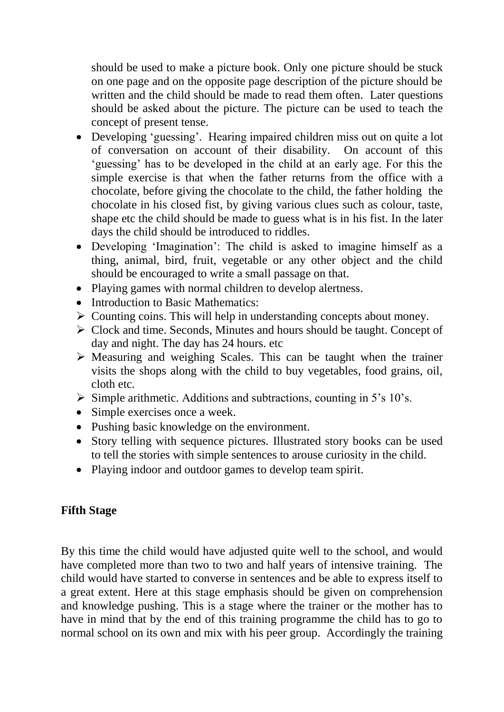should be used to make a picture book. Only one picture should be stuck on one page and on the opposite page description of the picture should be written and the child should be made to read them often. Later questions should be asked about the picture. The picture can be used to teach the concept of present tense.

- Developing 'guessing'. Hearing impaired children miss out on quite a lot of conversation on account of their disability. On account of this 'guessing' has to be developed in the child at an early age. For this the simple exercise is that when the father returns from the office with a chocolate, before giving the chocolate to the child, the father holding the chocolate in his closed fist, by giving various clues such as colour, taste, shape etc the child should be made to guess what is in his fist. In the later days the child should be introduced to riddles.
- Developing 'Imagination': The child is asked to imagine himself as a thing, animal, bird, fruit, vegetable or any other object and the child should be encouraged to write a small passage on that.
- Playing games with normal children to develop alertness.
- Introduction to Basic Mathematics:
- $\triangleright$  Counting coins. This will help in understanding concepts about money.
- Clock and time. Seconds, Minutes and hours should be taught. Concept of day and night. The day has 24 hours. etc
- $\triangleright$  Measuring and weighing Scales. This can be taught when the trainer visits the shops along with the child to buy vegetables, food grains, oil, cloth etc.
- $\triangleright$  Simple arithmetic. Additions and subtractions, counting in 5's 10's.
- Simple exercises once a week.
- Pushing basic knowledge on the environment.
- Story telling with sequence pictures. Illustrated story books can be used to tell the stories with simple sentences to arouse curiosity in the child.
- Playing indoor and outdoor games to develop team spirit.

## **Fifth Stage**

By this time the child would have adjusted quite well to the school, and would have completed more than two to two and half years of intensive training. The child would have started to converse in sentences and be able to express itself to a great extent. Here at this stage emphasis should be given on comprehension and knowledge pushing. This is a stage where the trainer or the mother has to have in mind that by the end of this training programme the child has to go to normal school on its own and mix with his peer group. Accordingly the training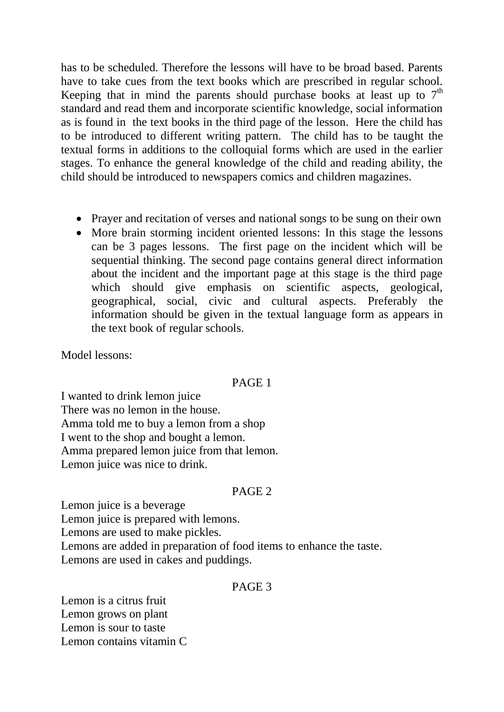has to be scheduled. Therefore the lessons will have to be broad based. Parents have to take cues from the text books which are prescribed in regular school. Keeping that in mind the parents should purchase books at least up to  $7<sup>th</sup>$ standard and read them and incorporate scientific knowledge, social information as is found in the text books in the third page of the lesson. Here the child has to be introduced to different writing pattern. The child has to be taught the textual forms in additions to the colloquial forms which are used in the earlier stages. To enhance the general knowledge of the child and reading ability, the child should be introduced to newspapers comics and children magazines.

- Prayer and recitation of verses and national songs to be sung on their own
- More brain storming incident oriented lessons: In this stage the lessons can be 3 pages lessons. The first page on the incident which will be sequential thinking. The second page contains general direct information about the incident and the important page at this stage is the third page which should give emphasis on scientific aspects, geological, geographical, social, civic and cultural aspects. Preferably the information should be given in the textual language form as appears in the text book of regular schools.

Model lessons:

#### PAGE 1

I wanted to drink lemon juice There was no lemon in the house. Amma told me to buy a lemon from a shop I went to the shop and bought a lemon. Amma prepared lemon juice from that lemon. Lemon juice was nice to drink.

#### PAGE 2

Lemon juice is a beverage Lemon juice is prepared with lemons. Lemons are used to make pickles. Lemons are added in preparation of food items to enhance the taste. Lemons are used in cakes and puddings.

#### PAGE 3

Lemon is a citrus fruit Lemon grows on plant Lemon is sour to taste Lemon contains vitamin C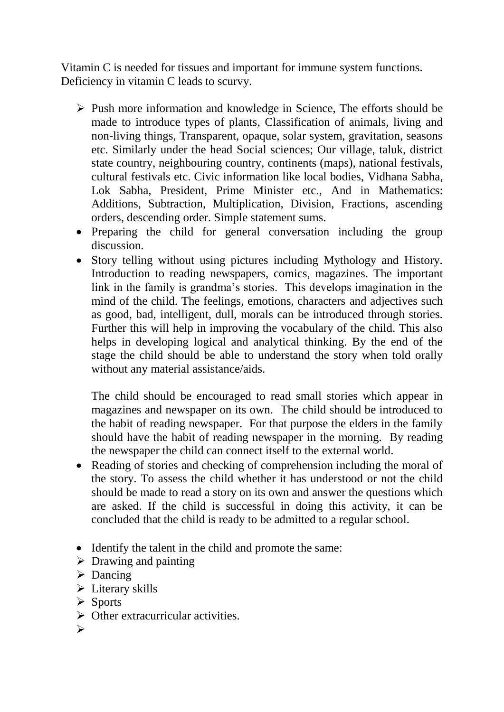Vitamin C is needed for tissues and important for immune system functions. Deficiency in vitamin C leads to scurvy.

- $\triangleright$  Push more information and knowledge in Science, The efforts should be made to introduce types of plants, Classification of animals, living and non-living things, Transparent, opaque, solar system, gravitation, seasons etc. Similarly under the head Social sciences; Our village, taluk, district state country, neighbouring country, continents (maps), national festivals, cultural festivals etc. Civic information like local bodies, Vidhana Sabha, Lok Sabha, President, Prime Minister etc., And in Mathematics: Additions, Subtraction, Multiplication, Division, Fractions, ascending orders, descending order. Simple statement sums.
- Preparing the child for general conversation including the group discussion.
- Story telling without using pictures including Mythology and History. Introduction to reading newspapers, comics, magazines. The important link in the family is grandma's stories. This develops imagination in the mind of the child. The feelings, emotions, characters and adjectives such as good, bad, intelligent, dull, morals can be introduced through stories. Further this will help in improving the vocabulary of the child. This also helps in developing logical and analytical thinking. By the end of the stage the child should be able to understand the story when told orally without any material assistance/aids.

The child should be encouraged to read small stories which appear in magazines and newspaper on its own. The child should be introduced to the habit of reading newspaper. For that purpose the elders in the family should have the habit of reading newspaper in the morning. By reading the newspaper the child can connect itself to the external world.

- Reading of stories and checking of comprehension including the moral of the story. To assess the child whether it has understood or not the child should be made to read a story on its own and answer the questions which are asked. If the child is successful in doing this activity, it can be concluded that the child is ready to be admitted to a regular school.
- Identify the talent in the child and promote the same:
- $\triangleright$  Drawing and painting
- $\triangleright$  Dancing
- $\triangleright$  Literary skills
- $\triangleright$  Sports
- $\triangleright$  Other extracurricular activities.
- $\blacktriangle$